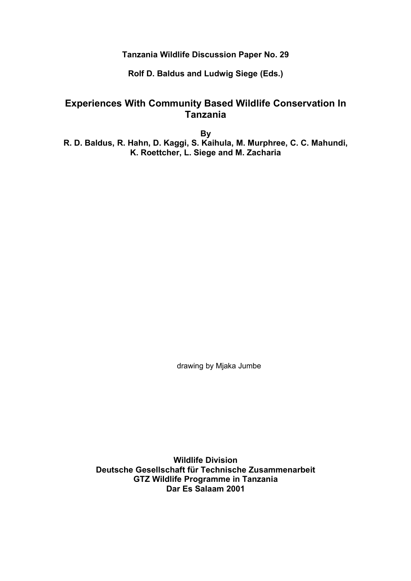**Tanzania Wildlife Discussion Paper No. 29**

**Rolf D. Baldus and Ludwig Siege (Eds.)**

# **Experiences With Community Based Wildlife Conservation In Tanzania**

**By R. D. Baldus, R. Hahn, D. Kaggi, S. Kaihula, M. Murphree, C. C. Mahundi, K. Roettcher, L. Siege and M. Zacharia**

drawing by Mjaka Jumbe

**Wildlife Division Deutsche Gesellschaft für Technische Zusammenarbeit GTZ Wildlife Programme in Tanzania Dar Es Salaam 2001**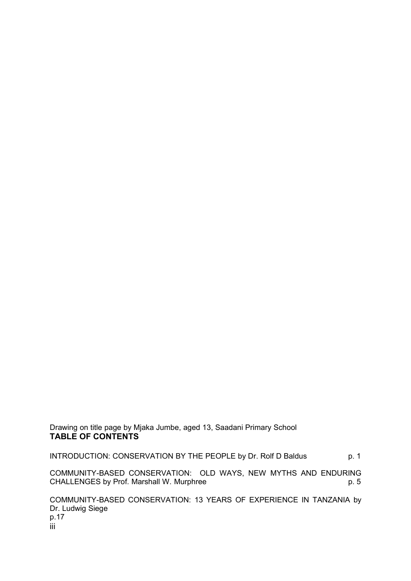Drawing on title page by Mjaka Jumbe, aged 13, Saadani Primary School **TABLE OF CONTENTS**

INTRODUCTION: CONSERVATION BY THE PEOPLE by Dr. Rolf D Baldus p. 1

COMMUNITY-BASED CONSERVATION: OLD WAYS, NEW MYTHS AND ENDURING<br>cHALLENGES by Prof. Marshall W. Murphree CHALLENGES by Prof. Marshall W. Murphree

COMMUNITY-BASED CONSERVATION: 13 YEARS OF EXPERIENCE IN TANZANIA by Dr. Ludwig Siege p.17 iii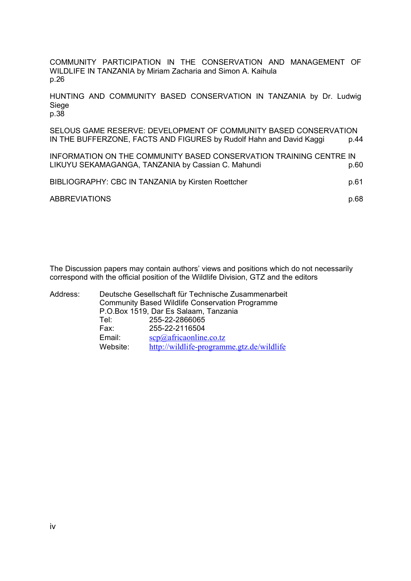COMMUNITY PARTICIPATION IN THE CONSERVATION AND MANAGEMENT OF WILDLIFE IN TANZANIA by Miriam Zacharia and Simon A. Kaihula p.26

HUNTING AND COMMUNITY BASED CONSERVATION IN TANZANIA by Dr. Ludwig Siege p.38

SELOUS GAME RESERVE: DEVELOPMENT OF COMMUNITY BASED CONSERVATION IN THE BUFFERZONE, FACTS AND FIGURES by Rudolf Hahn and David Kaggi p.44

INFORMATION ON THE COMMUNITY BASED CONSERVATION TRAINING CENTRE IN LIKUYU SEKAMAGANGA, TANZANIA by Cassian C. Mahundi **p.60** p.60

| BIBLIOGRAPHY: CBC IN TANZANIA by Kirsten Roettcher | p.61 |
|----------------------------------------------------|------|
| <b>ABBREVIATIONS</b>                               | p.68 |

The Discussion papers may contain authors' views and positions which do not necessarily correspond with the official position of the Wildlife Division, GTZ and the editors

Address: Deutsche Gesellschaft für Technische Zusammenarbeit Community Based Wildlife Conservation Programme P.O.Box 1519, Dar Es Salaam, Tanzania Tel: 255-22-2866065<br>Fax: 255-22-2116504 Fax: 255-22-2116504 Email:  $\frac{\text{SCP}(a)}{\text{africaonline.co.tz}}$ Website: http://wildlife-programme.gtz.de/wildlife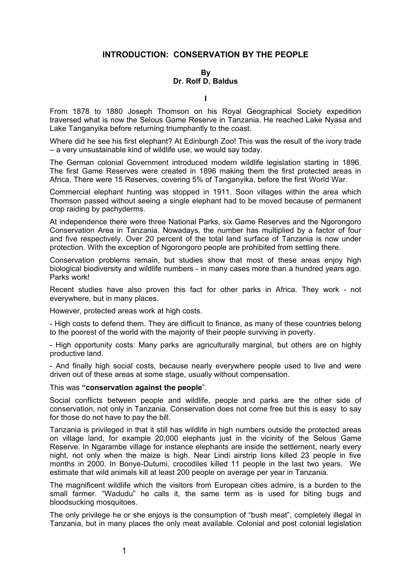# **INTRODUCTION: CONSERVATION BY THE PEOPLE**

### **By Dr. Rolf D. Baldus**

**I**

From 1878 to 1880 Joseph Thomson on his Royal Geographical Society expedition traversed what is now the Selous Game Reserve in Tanzania. He reached Lake Nyasa and Lake Tanganyika before returning triumphantly to the coast.

Where did he see his first elephant? At Edinburgh Zoo! This was the result of the ivory trade – a very unsustainable kind of wildlife use, we would say today.

The German colonial Government introduced modern wildlife legislation starting in 1896. The first Game Reserves were created in 1896 making them the first protected areas in Africa. There were 15 Reserves, covering 5% of Tanganyika, before the first World War.

Commercial elephant hunting was stopped in 1911. Soon villages within the area which Thomson passed without seeing a single elephant had to be moved because of permanent crop raiding by pachyderms.

At independence there were three National Parks, six Game Reserves and the Ngorongoro Conservation Area in Tanzania. Nowadays, the number has multiplied by a factor of four and five respectively. Over 20 percent of the total land surface of Tanzania is now under protection. With the exception of Ngorongoro people are prohibited from settling there.

Conservation problems remain, but studies show that most of these areas enjoy high biological biodiversity and wildlife numbers - in many cases more than a hundred years ago. Parks work!

Recent studies have also proven this fact for other parks in Africa. They work - not everywhere, but in many places.

However, protected areas work at high costs.

- High costs to defend them. They are difficult to finance, as many of these countries belong to the poorest of the world with the majority of their people surviving in poverty.

- High opportunity costs: Many parks are agriculturally marginal, but others are on highly productive land.

- And finally high social costs, because nearly everywhere people used to live and were driven out of these areas at some stage, usually without compensation.

#### This was **"conservation against the people**".

Social conflicts between people and wildlife, people and parks are the other side of conservation, not only in Tanzania. Conservation does not come free but this is easy to say for those do not have to pay the bill.

Tanzania is privileged in that it still has wildlife in high numbers outside the protected areas on village land, for example 20,000 elephants just in the vicinity of the Selous Game Reserve. In Ngarambe village for instance elephants are inside the settlement, nearly every night, not only when the maize is high. Near Lindi airstrip lions killed 23 people in five months in 2000. In Bonye-Dutumi, crocodiles killed 11 people in the last two years. We estimate that wild animals kill at least 200 people on average per year in Tanzania.

The magnificent wildlife which the visitors from European cities admire, is a burden to the small farmer. "Wadudu" he calls it, the same term as is used for biting bugs and bloodsucking mosquitoes.

The only privilege he or she enjoys is the consumption of "bush meat", completely illegal in Tanzania, but in many places the only meat available. Colonial and post colonial legislation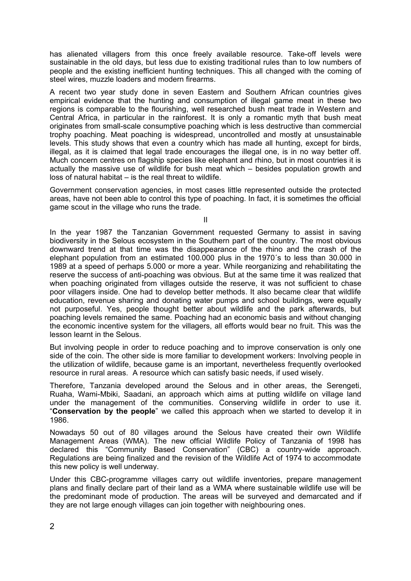has alienated villagers from this once freely available resource. Take-off levels were sustainable in the old days, but less due to existing traditional rules than to low numbers of people and the existing inefficient hunting techniques. This all changed with the coming of steel wires, muzzle loaders and modern firearms.

A recent two year study done in seven Eastern and Southern African countries gives empirical evidence that the hunting and consumption of illegal game meat in these two regions is comparable to the flourishing, well researched bush meat trade in Western and Central Africa, in particular in the rainforest. It is only a romantic myth that bush meat originates from small-scale consumptive poaching which is less destructive than commercial trophy poaching. Meat poaching is widespread, uncontrolled and mostly at unsustainable levels. This study shows that even a country which has made all hunting, except for birds, illegal, as it is claimed that legal trade encourages the illegal one, is in no way better off. Much concern centres on flagship species like elephant and rhino, but in most countries it is actually the massive use of wildlife for bush meat which – besides population growth and loss of natural habitat – is the real threat to wildlife.

Government conservation agencies, in most cases little represented outside the protected areas, have not been able to control this type of poaching. In fact, it is sometimes the official game scout in the village who runs the trade.

II

In the year 1987 the Tanzanian Government requested Germany to assist in saving biodiversity in the Selous ecosystem in the Southern part of the country. The most obvious downward trend at that time was the disappearance of the rhino and the crash of the elephant population from an estimated 100.000 plus in the 1970´s to less than 30.000 in 1989 at a speed of perhaps 5.000 or more a year. While reorganizing and rehabilitating the reserve the success of anti-poaching was obvious. But at the same time it was realized that when poaching originated from villages outside the reserve, it was not sufficient to chase poor villagers inside. One had to develop better methods. It also became clear that wildlife education, revenue sharing and donating water pumps and school buildings, were equally not purposeful. Yes, people thought better about wildlife and the park afterwards, but poaching levels remained the same. Poaching had an economic basis and without changing the economic incentive system for the villagers, all efforts would bear no fruit. This was the lesson learnt in the Selous.

But involving people in order to reduce poaching and to improve conservation is only one side of the coin. The other side is more familiar to development workers: Involving people in the utilization of wildlife, because game is an important, nevertheless frequently overlooked resource in rural areas. A resource which can satisfy basic needs, if used wisely.

Therefore, Tanzania developed around the Selous and in other areas, the Serengeti, Ruaha, Wami-Mbiki, Saadani, an approach which aims at putting wildlife on village land under the management of the communities. Conserving wildlife in order to use it. "**Conservation by the people**" we called this approach when we started to develop it in 1986.

Nowadays 50 out of 80 villages around the Selous have created their own Wildlife Management Areas (WMA). The new official Wildlife Policy of Tanzania of 1998 has declared this "Community Based Conservation" (CBC) a country-wide approach. Regulations are being finalized and the revision of the Wildlife Act of 1974 to accommodate this new policy is well underway.

Under this CBC-programme villages carry out wildlife inventories, prepare management plans and finally declare part of their land as a WMA where sustainable wildlife use will be the predominant mode of production. The areas will be surveyed and demarcated and if they are not large enough villages can join together with neighbouring ones.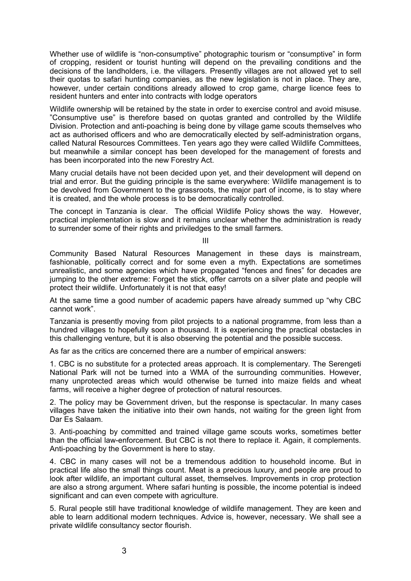Whether use of wildlife is "non-consumptive" photographic tourism or "consumptive" in form of cropping, resident or tourist hunting will depend on the prevailing conditions and the decisions of the landholders, i.e. the villagers. Presently villages are not allowed yet to sell their quotas to safari hunting companies, as the new legislation is not in place. They are, however, under certain conditions already allowed to crop game, charge licence fees to resident hunters and enter into contracts with lodge operators

Wildlife ownership will be retained by the state in order to exercise control and avoid misuse. "Consumptive use" is therefore based on quotas granted and controlled by the Wildlife Division. Protection and anti-poaching is being done by village game scouts themselves who act as authorised officers and who are democratically elected by self-administration organs, called Natural Resources Committees. Ten years ago they were called Wildlife Committees, but meanwhile a similar concept has been developed for the management of forests and has been incorporated into the new Forestry Act.

Many crucial details have not been decided upon yet, and their development will depend on trial and error. But the guiding principle is the same everywhere: Wildlife management is to be devolved from Government to the grassroots, the major part of income, is to stay where it is created, and the whole process is to be democratically controlled.

The concept in Tanzania is clear. The official Wildlife Policy shows the way. However, practical implementation is slow and it remains unclear whether the administration is ready to surrender some of their rights and priviledges to the small farmers.

III

Community Based Natural Resources Management in these days is mainstream, fashionable, politically correct and for some even a myth. Expectations are sometimes unrealistic, and some agencies which have propagated "fences and fines" for decades are jumping to the other extreme: Forget the stick, offer carrots on a silver plate and people will protect their wildlife. Unfortunately it is not that easy!

At the same time a good number of academic papers have already summed up "why CBC cannot work".

Tanzania is presently moving from pilot projects to a national programme, from less than a hundred villages to hopefully soon a thousand. It is experiencing the practical obstacles in this challenging venture, but it is also observing the potential and the possible success.

As far as the critics are concerned there are a number of empirical answers:

1. CBC is no substitute for a protected areas approach. It is complementary. The Serengeti National Park will not be turned into a WMA of the surrounding communities. However, many unprotected areas which would otherwise be turned into maize fields and wheat farms, will receive a higher degree of protection of natural resources.

2. The policy may be Government driven, but the response is spectacular. In many cases villages have taken the initiative into their own hands, not waiting for the green light from Dar Es Salaam.

3. Anti-poaching by committed and trained village game scouts works, sometimes better than the official law-enforcement. But CBC is not there to replace it. Again, it complements. Anti-poaching by the Government is here to stay.

4. CBC in many cases will not be a tremendous addition to household income. But in practical life also the small things count. Meat is a precious luxury, and people are proud to look after wildlife, an important cultural asset, themselves. Improvements in crop protection are also a strong argument. Where safari hunting is possible, the income potential is indeed significant and can even compete with agriculture.

5. Rural people still have traditional knowledge of wildlife management. They are keen and able to learn additional modern techniques. Advice is, however, necessary. We shall see a private wildlife consultancy sector flourish.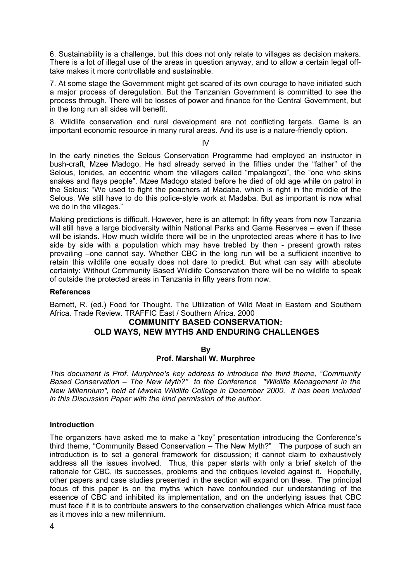6. Sustainability is a challenge, but this does not only relate to villages as decision makers. There is a lot of illegal use of the areas in question anyway, and to allow a certain legal offtake makes it more controllable and sustainable.

7. At some stage the Government might get scared of its own courage to have initiated such a major process of deregulation. But the Tanzanian Government is committed to see the process through. There will be losses of power and finance for the Central Government, but in the long run all sides will benefit.

8. Wildlife conservation and rural development are not conflicting targets. Game is an important economic resource in many rural areas. And its use is a nature-friendly option.

IV

In the early nineties the Selous Conservation Programme had employed an instructor in bush-craft, Mzee Madogo. He had already served in the fifties under the "father" of the Selous, Ionides, an eccentric whom the villagers called "mpalangozi", the "one who skins snakes and flays people". Mzee Madogo stated before he died of old age while on patrol in the Selous: "We used to fight the poachers at Madaba, which is right in the middle of the Selous. We still have to do this police-style work at Madaba. But as important is now what we do in the villages."

Making predictions is difficult. However, here is an attempt: In fifty years from now Tanzania will still have a large biodiversity within National Parks and Game Reserves – even if these will be islands. How much wildlife there will be in the unprotected areas where it has to live side by side with a population which may have trebled by then - present growth rates prevailing –one cannot say. Whether CBC in the long run will be a sufficient incentive to retain this wildlife one equally does not dare to predict. But what can say with absolute certainty: Without Community Based Wildlife Conservation there will be no wildlife to speak of outside the protected areas in Tanzania in fifty years from now.

#### **References**

Barnett, R. (ed.) Food for Thought. The Utilization of Wild Meat in Eastern and Southern Africa. Trade Review. TRAFFIC East / Southern Africa. 2000

# **COMMUNITY BASED CONSERVATION: OLD WAYS, NEW MYTHS AND ENDURING CHALLENGES**

#### **By**

### **Prof. Marshall W. Murphree**

*This document is Prof. Murphree's key address to introduce the third theme, "Community Based Conservation – The New Myth?" to the Conference "Wildlife Management in the New Millennium", held at Mweka Wildlife College in December 2000. It has been included in this Discussion Paper with the kind permission of the author.*

### **Introduction**

The organizers have asked me to make a "key" presentation introducing the Conference's third theme, "Community Based Conservation – The New Myth?" The purpose of such an introduction is to set a general framework for discussion; it cannot claim to exhaustively address all the issues involved. Thus, this paper starts with only a brief sketch of the rationale for CBC, its successes, problems and the critiques leveled against it. Hopefully, other papers and case studies presented in the section will expand on these. The principal focus of this paper is on the myths which have confounded our understanding of the essence of CBC and inhibited its implementation, and on the underlying issues that CBC must face if it is to contribute answers to the conservation challenges which Africa must face as it moves into a new millennium.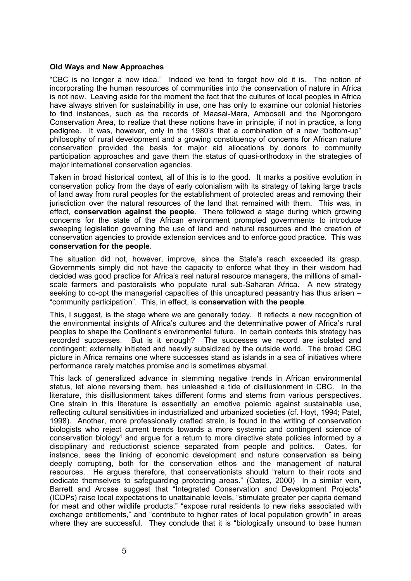### **Old Ways and New Approaches**

"CBC is no longer a new idea." Indeed we tend to forget how old it is. The notion of incorporating the human resources of communities into the conservation of nature in Africa is not new. Leaving aside for the moment the fact that the cultures of local peoples in Africa have always striven for sustainability in use, one has only to examine our colonial histories to find instances, such as the records of Maasai-Mara, Amboseli and the Ngorongoro Conservation Area, to realize that these notions have in principle, if not in practice, a long pedigree. It was, however, only in the 1980's that a combination of a new "bottom-up" philosophy of rural development and a growing constituency of concerns for African nature conservation provided the basis for major aid allocations by donors to community participation approaches and gave them the status of quasi-orthodoxy in the strategies of major international conservation agencies.

Taken in broad historical context, all of this is to the good. It marks a positive evolution in conservation policy from the days of early colonialism with its strategy of taking large tracts of land away from rural peoples for the establishment of protected areas and removing their jurisdiction over the natural resources of the land that remained with them. This was, in effect, **conservation against the people**. There followed a stage during which growing concerns for the state of the African environment prompted governments to introduce sweeping legislation governing the use of land and natural resources and the creation of conservation agencies to provide extension services and to enforce good practice. This was **conservation for the people**.

The situation did not, however, improve, since the State's reach exceeded its grasp. Governments simply did not have the capacity to enforce what they in their wisdom had decided was good practice for Africa's real natural resource managers, the millions of smallscale farmers and pastoralists who populate rural sub-Saharan Africa. A new strategy seeking to co-opt the managerial capacities of this uncaptured peasantry has thus arisen – "community participation". This, in effect, is **conservation with the people***.*

This, I suggest, is the stage where we are generally today. It reflects a new recognition of the environmental insights of Africa's cultures and the determinative power of Africa's rural peoples to shape the Continent's environmental future. In certain contexts this strategy has recorded successes. But is it enough? The successes we record are isolated and contingent; externally initiated and heavily subsidized by the outside world. The broad CBC picture in Africa remains one where successes stand as islands in a sea of initiatives where performance rarely matches promise and is sometimes abysmal.

This lack of generalized advance in stemming negative trends in African environmental status, let alone reversing them, has unleashed a tide of disillusionment in CBC. In the literature, this disillusionment takes different forms and stems from various perspectives. One strain in this literature is essentially an emotive polemic against sustainable use, reflecting cultural sensitivities in industrialized and urbanized societies (cf. Hoyt, 1994; Patel, 1998). Another, more professionally crafted strain, is found in the writing of conservation biologists who reject current trends towards a more systemic and contingent science of conservation biology<sup>1</sup> and argue for a return to more directive state policies informed by a disciplinary and reductionist science separated from people and politics. Oates, for instance, sees the linking of economic development and nature conservation as being deeply corrupting, both for the conservation ethos and the management of natural resources. He argues therefore, that conservationists should "return to their roots and dedicate themselves to safeguarding protecting areas." (Oates, 2000) In a similar vein, Barrett and Arcase suggest that "Integrated Conservation and Development Projects" (ICDPs) raise local expectations to unattainable levels, "stimulate greater per capita demand for meat and other wildlife products," "expose rural residents to new risks associated with exchange entitlements," and "contribute to higher rates of local population growth" in areas where they are successful. They conclude that it is "biologically unsound to base human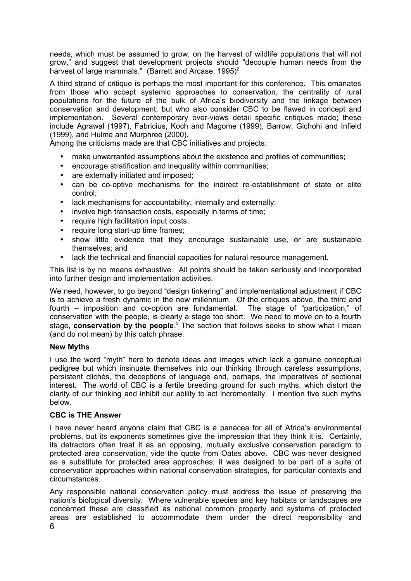needs, which must be assumed to grow, on the harvest of wildlife populations that will not grow," and suggest that development projects should "decouple human needs from the harvest of large mammals." (Barrett and Arcase, 1995)<sup>2</sup>

A third strand of critique is perhaps the most important for this conference. This emanates from those who accept systemic approaches to conservation, the centrality of rural populations for the future of the bulk of Africa's biodiversity and the linkage between conservation and development; but who also consider CBC to be flawed in concept and implementation. Several contemporary over-views detail specific critiques made; these include Agrawal (1997), Fabricius, Koch and Magome (1999), Barrow, Gichohi and Infield (1999), and Hulme and Murphree (2000).

Among the criticisms made are that CBC initiatives and projects:

- make unwarranted assumptions about the existence and profiles of communities;
- encourage stratification and inequality within communities;
- are externally initiated and imposed;
- can be co-optive mechanisms for the indirect re-establishment of state or elite control;
- lack mechanisms for accountability, internally and externally;
- involve high transaction costs, especially in terms of time;
- require high facilitation input costs;
- require long start-up time frames;
- show little evidence that they encourage sustainable use, or are sustainable themselves; and
- lack the technical and financial capacities for natural resource management.

This list is by no means exhaustive. All points should be taken seriously and incorporated into further design and implementation activities.

We need, however, to go beyond "design tinkering" and implementational adjustment if CBC is to achieve a fresh dynamic in the new millennium. Of the critiques above, the third and fourth – imposition and co-option are fundamental. The stage of "participation," of conservation with the people, is clearly a stage too short. We need to move on to a fourth stage, **conservation by the people**. <sup>3</sup> The section that follows seeks to show what I mean (and do not mean) by this catch phrase.

#### **New Myths**

I use the word "myth" here to denote ideas and images which lack a genuine conceptual pedigree but which insinuate themselves into our thinking through careless assumptions, persistent clichés, the deceptions of language and, perhaps, the imperatives of sectional interest. The world of CBC is a fertile breeding ground for such myths, which distort the clarity of our thinking and inhibit our ability to act incrementally. I mention five such myths below.

# **CBC is THE Answer**

I have never heard anyone claim that CBC is a panacea for all of Africa's environmental problems, but its exponents sometimes give the impression that they think it is. Certainly, its detractors often treat it as an opposing, mutually exclusive conservation paradigm to protected area conservation, vide the quote from Oates above. CBC was never designed as a substitute for protected area approaches; it was designed to be part of a suite of conservation approaches within national conservation strategies, for particular contexts and circumstances.

Any responsible national conservation policy must address the issue of preserving the nation's biological diversity. Where vulnerable species and key habitats or landscapes are concerned these are classified as national common property and systems of protected areas are established to accommodate them under the direct responsibility and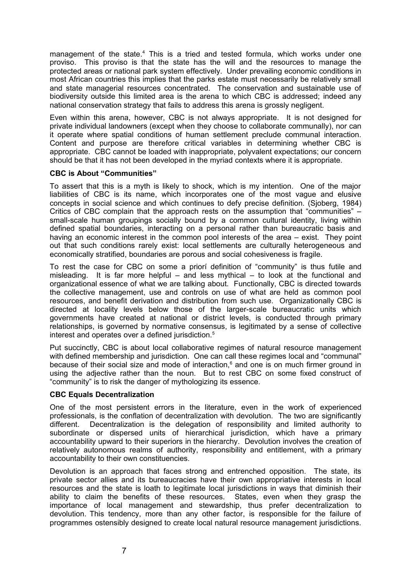management of the state.<sup>4</sup> This is a tried and tested formula, which works under one proviso. This proviso is that the state has the will and the resources to manage the protected areas or national park system effectively. Under prevailing economic conditions in most African countries this implies that the parks estate must necessarily be relatively small and state managerial resources concentrated. The conservation and sustainable use of biodiversity outside this limited area is the arena to which CBC is addressed; indeed any national conservation strategy that fails to address this arena is grossly negligent.

Even within this arena, however, CBC is not always appropriate. It is not designed for private individual landowners (except when they choose to collaborate communally), nor can it operate where spatial conditions of human settlement preclude communal interaction. Content and purpose are therefore critical variables in determining whether CBC is appropriate. CBC cannot be loaded with inappropriate, polyvalent expectations; our concern should be that it has not been developed in the myriad contexts where it is appropriate.

### **CBC is About "Communities"**

To assert that this is a myth is likely to shock, which is my intention. One of the major liabilities of CBC is its name, which incorporates one of the most vague and elusive concepts in social science and which continues to defy precise definition. (Sjoberg, 1984) Critics of CBC complain that the approach rests on the assumption that "communities" – small-scale human groupings socially bound by a common cultural identity, living within defined spatial boundaries, interacting on a personal rather than bureaucratic basis and having an economic interest in the common pool interests of the area – exist. They point out that such conditions rarely exist: local settlements are culturally heterogeneous and economically stratified, boundaries are porous and social cohesiveness is fragile.

To rest the case for CBC on some a priorí definition of "community" is thus futile and misleading. It is far more helpful – and less mythical – to look at the functional and organizational essence of what we are talking about. Functionally, CBC is directed towards the collective management, use and controls on use of what are held as common pool resources, and benefit derivation and distribution from such use. Organizationally CBC is directed at locality levels below those of the larger-scale bureaucratic units which governments have created at national or district levels, is conducted through primary relationships, is governed by normative consensus, is legitimated by a sense of collective interest and operates over a defined jurisdiction.<sup>5</sup>

Put succinctly, CBC is about local collaborative regimes of natural resource management with defined membership and jurisdiction. One can call these regimes local and "communal" because of their social size and mode of interaction, <sup>6</sup> and one is on much firmer ground in using the adjective rather than the noun. But to rest CBC on some fixed construct of "community" is to risk the danger of mythologizing its essence.

#### **CBC Equals Decentralization**

One of the most persistent errors in the literature, even in the work of experienced professionals, is the conflation of decentralization with devolution. The two are significantly different. Decentralization is the delegation of responsibility and limited authority to subordinate or dispersed units of hierarchical jurisdiction, which have a primary accountability upward to their superiors in the hierarchy. Devolution involves the creation of relatively autonomous realms of authority, responsibility and entitlement, with a primary accountability to their own constituencies.

Devolution is an approach that faces strong and entrenched opposition. The state, its private sector allies and its bureaucracies have their own appropriative interests in local resources and the state is loath to legitimate local jurisdictions in ways that diminish their ability to claim the benefits of these resources. States, even when they grasp the importance of local management and stewardship, thus prefer decentralization to devolution. This tendency, more than any other factor, is responsible for the failure of programmes ostensibly designed to create local natural resource management jurisdictions.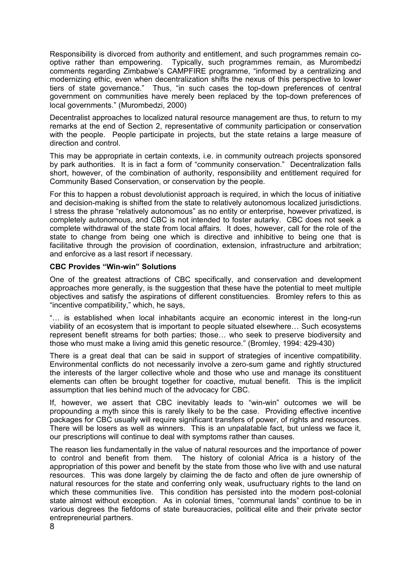Responsibility is divorced from authority and entitlement, and such programmes remain cooptive rather than empowering. Typically, such programmes remain, as Murombedzi comments regarding Zimbabwe's CAMPFIRE programme, "informed by a centralizing and modernizing ethic, even when decentralization shifts the nexus of this perspective to lower tiers of state governance." Thus, "in such cases the top-down preferences of central government on communities have merely been replaced by the top-down preferences of local governments." (Murombedzi, 2000)

Decentralist approaches to localized natural resource management are thus, to return to my remarks at the end of Section 2, representative of community participation or conservation with the people. People participate in projects, but the state retains a large measure of direction and control.

This may be appropriate in certain contexts, i.e. in community outreach projects sponsored by park authorities. It is in fact a form of "community conservation." Decentralization falls short, however, of the combination of authority, responsibility and entitlement required for Community Based Conservation, or conservation by the people.

For this to happen a robust devolutionist approach is required, in which the locus of initiative and decision-making is shifted from the state to relatively autonomous localized jurisdictions. I stress the phrase "relatively autonomous" as no entity or enterprise, however privatized, is completely autonomous, and CBC is not intended to foster autarky. CBC does not seek a complete withdrawal of the state from local affairs. It does, however, call for the role of the state to change from being one which is directive and inhibitive to being one that is facilitative through the provision of coordination, extension, infrastructure and arbitration; and enforcive as a last resort if necessary.

### **CBC Provides "Win-win" Solutions**

One of the greatest attractions of CBC specifically, and conservation and development approaches more generally, is the suggestion that these have the potential to meet multiple objectives and satisfy the aspirations of different constituencies. Bromley refers to this as "incentive compatibility," which, he says,

"… is established when local inhabitants acquire an economic interest in the long-run viability of an ecosystem that is important to people situated elsewhere… Such ecosystems represent benefit streams for both parties; those… who seek to preserve biodiversity and those who must make a living amid this genetic resource." (Bromley, 1994: 429-430)

There is a great deal that can be said in support of strategies of incentive compatibility. Environmental conflicts do not necessarily involve a zero-sum game and rightly structured the interests of the larger collective whole and those who use and manage its constituent elements can often be brought together for coactive, mutual benefit. This is the implicit assumption that lies behind much of the advocacy for CBC.

If, however, we assert that CBC inevitably leads to "win-win" outcomes we will be propounding a myth since this is rarely likely to be the case. Providing effective incentive packages for CBC usually will require significant transfers of power, of rights and resources. There will be losers as well as winners. This is an unpalatable fact, but unless we face it, our prescriptions will continue to deal with symptoms rather than causes.

The reason lies fundamentally in the value of natural resources and the importance of power to control and benefit from them. The history of colonial Africa is a history of the appropriation of this power and benefit by the state from those who live with and use natural resources. This was done largely by claiming the de facto and often de jure ownership of natural resources for the state and conferring only weak, usufructuary rights to the land on which these communities live. This condition has persisted into the modern post-colonial state almost without exception. As in colonial times, "communal lands" continue to be in various degrees the fiefdoms of state bureaucracies, political elite and their private sector entrepreneurial partners.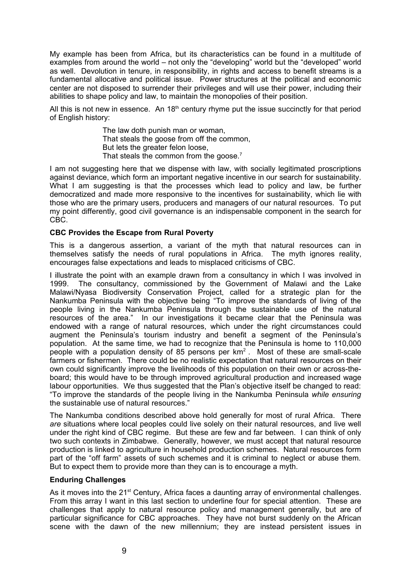My example has been from Africa, but its characteristics can be found in a multitude of examples from around the world – not only the "developing" world but the "developed" world as well. Devolution in tenure, in responsibility, in rights and access to benefit streams is a fundamental allocative and political issue. Power structures at the political and economic center are not disposed to surrender their privileges and will use their power, including their abilities to shape policy and law, to maintain the monopolies of their position.

All this is not new in essence. An  $18<sup>th</sup>$  century rhyme put the issue succinctly for that period of English history:

> The law doth punish man or woman, That steals the goose from off the common, But lets the greater felon loose, That steals the common from the goose.<sup>7</sup>

I am not suggesting here that we dispense with law, with socially legitimated proscriptions against deviance, which form an important negative incentive in our search for sustainability. What I am suggesting is that the processes which lead to policy and law, be further democratized and made more responsive to the incentives for sustainability, which lie with those who are the primary users, producers and managers of our natural resources. To put my point differently, good civil governance is an indispensable component in the search for CBC.

### **CBC Provides the Escape from Rural Poverty**

This is a dangerous assertion, a variant of the myth that natural resources can in themselves satisfy the needs of rural populations in Africa. The myth ignores reality, encourages false expectations and leads to misplaced criticisms of CBC.

I illustrate the point with an example drawn from a consultancy in which I was involved in 1999. The consultancy, commissioned by the Government of Malawi and the Lake Malawi/Nyasa Biodiversity Conservation Project, called for a strategic plan for the Nankumba Peninsula with the objective being "To improve the standards of living of the people living in the Nankumba Peninsula through the sustainable use of the natural resources of the area." In our investigations it became clear that the Peninsula was endowed with a range of natural resources, which under the right circumstances could augment the Peninsula's tourism industry and benefit a segment of the Peninsula's population. At the same time, we had to recognize that the Peninsula is home to 110,000 people with a population density of 85 persons per  $km^2$ . Most of these are small-scale farmers or fishermen. There could be no realistic expectation that natural resources on their own could significantly improve the livelihoods of this population on their own or across-theboard; this would have to be through improved agricultural production and increased wage labour opportunities. We thus suggested that the Plan's objective itself be changed to read: "To improve the standards of the people living in the Nankumba Peninsula *while ensuring* the sustainable use of natural resources."

The Nankumba conditions described above hold generally for most of rural Africa. There *are* situations where local peoples could live solely on their natural resources, and live well under the right kind of CBC regime. But these are few and far between. I can think of only two such contexts in Zimbabwe. Generally, however, we must accept that natural resource production is linked to agriculture in household production schemes. Natural resources form part of the "off farm" assets of such schemes and it is criminal to neglect or abuse them. But to expect them to provide more than they can is to encourage a myth.

#### **Enduring Challenges**

As it moves into the 21<sup>st</sup> Century, Africa faces a daunting array of environmental challenges. From this array I want in this last section to underline four for special attention. These are challenges that apply to natural resource policy and management generally, but are of particular significance for CBC approaches. They have not burst suddenly on the African scene with the dawn of the new millennium; they are instead persistent issues in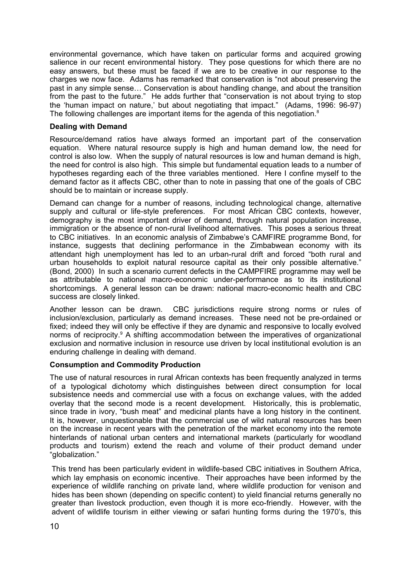environmental governance, which have taken on particular forms and acquired growing salience in our recent environmental history. They pose questions for which there are no easy answers, but these must be faced if we are to be creative in our response to the charges we now face. Adams has remarked that conservation is "not about preserving the past in any simple sense… Conservation is about handling change, and about the transition from the past to the future." He adds further that "conservation is not about trying to stop the 'human impact on nature,' but about negotiating that impact." (Adams, 1996: 96-97) The following challenges are important items for the agenda of this negotiation.<sup>8</sup>

### **Dealing with Demand**

Resource/demand ratios have always formed an important part of the conservation equation. Where natural resource supply is high and human demand low, the need for control is also low. When the supply of natural resources is low and human demand is high, the need for control is also high. This simple but fundamental equation leads to a number of hypotheses regarding each of the three variables mentioned. Here I confine myself to the demand factor as it affects CBC, other than to note in passing that one of the goals of CBC should be to maintain or increase supply.

Demand can change for a number of reasons, including technological change, alternative supply and cultural or life-style preferences. For most African CBC contexts, however, demography is the most important driver of demand, through natural population increase, immigration or the absence of non-rural livelihood alternatives. This poses a serious threat to CBC initiatives. In an economic analysis of Zimbabwe's CAMFIRE programme Bond, for instance, suggests that declining performance in the Zimbabwean economy with its attendant high unemployment has led to an urban-rural drift and forced "both rural and urban households to exploit natural resource capital as their only possible alternative." (Bond, 2000) In such a scenario current defects in the CAMPFIRE programme may well be as attributable to national macro-economic under-performance as to its institutional shortcomings. A general lesson can be drawn: national macro-economic health and CBC success are closely linked.

Another lesson can be drawn. CBC jurisdictions require strong norms or rules of inclusion/exclusion, particularly as demand increases. These need not be pre-ordained or fixed; indeed they will only be effective if they are dynamic and responsive to locally evolved norms of reciprocity.<sup>9</sup> A shifting accommodation between the imperatives of organizational exclusion and normative inclusion in resource use driven by local institutional evolution is an enduring challenge in dealing with demand.

# **Consumption and Commodity Production**

The use of natural resources in rural African contexts has been frequently analyzed in terms of a typological dichotomy which distinguishes between direct consumption for local subsistence needs and commercial use with a focus on exchange values, with the added overlay that the second mode is a recent development. Historically, this is problematic, since trade in ivory, "bush meat" and medicinal plants have a long history in the continent. It is, however, unquestionable that the commercial use of wild natural resources has been on the increase in recent years with the penetration of the market economy into the remote hinterlands of national urban centers and international markets (particularly for woodland products and tourism) extend the reach and volume of their product demand under "globalization."

This trend has been particularly evident in wildlife-based CBC initiatives in Southern Africa, which lay emphasis on economic incentive. Their approaches have been informed by the experience of wildlife ranching on private land, where wildlife production for venison and hides has been shown (depending on specific content) to yield financial returns generally no greater than livestock production, even though it is more eco-friendly. However, with the advent of wildlife tourism in either viewing or safari hunting forms during the 1970's, this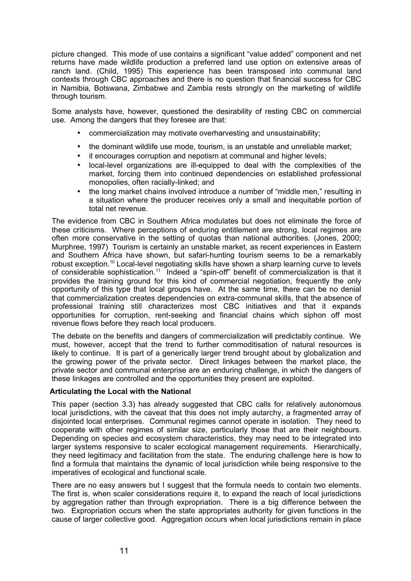picture changed. This mode of use contains a significant "value added" component and net returns have made wildlife production a preferred land use option on extensive areas of ranch land. (Child, 1995) This experience has been transposed into communal land contexts through CBC approaches and there is no question that financial success for CBC in Namibia, Botswana, Zimbabwe and Zambia rests strongly on the marketing of wildlife through tourism.

Some analysts have, however, questioned the desirability of resting CBC on commercial use. Among the dangers that they foresee are that:

- commercialization may motivate overharvesting and unsustainability;
- the dominant wildlife use mode, tourism, is an unstable and unreliable market;
- it encourages corruption and nepotism at communal and higher levels:
- local-level organizations are ill-equipped to deal with the complexities of the market, forcing them into continued dependencies on established professional monopolies, often racially-linked; and
- the long market chains involved introduce a number of "middle men," resulting in a situation where the producer receives only a small and inequitable portion of total net revenue.

The evidence from CBC in Southern Africa modulates but does not eliminate the force of these criticisms. Where perceptions of enduring entitlement are strong, local regimes are often more conservative in the setting of quotas than national authorities. (Jones, 2000; Murphree, 1997) Tourism is certainly an unstable market, as recent experiences in Eastern and Southern Africa have shown, but safari-hunting tourism seems to be a remarkably robust exception. 10 Local-level negotiating skills have shown a sharp learning curve to levels of considerable sophistication.<sup>11</sup> Indeed a "spin-off" benefit of commercialization is that it provides the training ground for this kind of commercial negotiation, frequently the only opportunity of this type that local groups have. At the same time, there can be no denial that commercialization creates dependencies on extra-communal skills, that the absence of professional training still characterizes most CBC initiatives and that it expands opportunities for corruption, rent-seeking and financial chains which siphon off most revenue flows before they reach local producers.

The debate on the benefits and dangers of commercialization will predictably continue. We must, however, accept that the trend to further commoditisation of natural resources is likely to continue. It is part of a generically larger trend brought about by globalization and the growing power of the private sector. Direct linkages between the market place, the private sector and communal enterprise are an enduring challenge, in which the dangers of these linkages are controlled and the opportunities they present are exploited.

# **Articulating the Local with the National**

This paper (section 3.3) has already suggested that CBC calls for relatively autonomous local jurisdictions, with the caveat that this does not imply autarchy, a fragmented array of disjointed local enterprises. Communal regimes cannot operate in isolation. They need to cooperate with other regimes of similar size, particularly those that are their neighbours. Depending on species and ecosystem characteristics, they may need to be integrated into larger systems responsive to scaler ecological management requirements. Hierarchically, they need legitimacy and facilitation from the state. The enduring challenge here is how to find a formula that maintains the dynamic of local jurisdiction while being responsive to the imperatives of ecological and functional scale.

There are no easy answers but I suggest that the formula needs to contain two elements. The first is, when scaler considerations require it, to expand the reach of local jurisdictions by aggregation rather than through expropriation. There is a big difference between the two. Expropriation occurs when the state appropriates authority for given functions in the cause of larger collective good. Aggregation occurs when local jurisdictions remain in place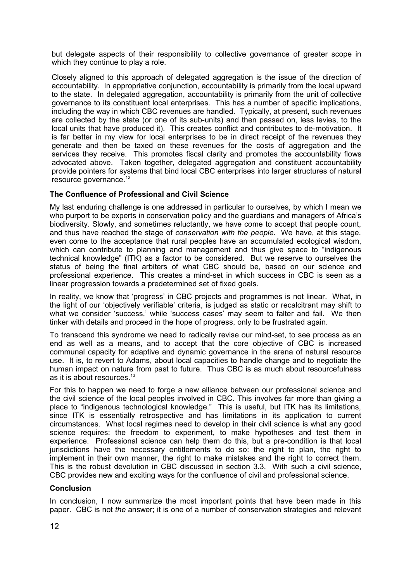but delegate aspects of their responsibility to collective governance of greater scope in which they continue to play a role.

Closely aligned to this approach of delegated aggregation is the issue of the direction of accountability. In appropriative conjunction, accountability is primarily from the local upward to the state. In delegated aggregation, accountability is primarily from the unit of collective governance to its constituent local enterprises. This has a number of specific implications, including the way in which CBC revenues are handled. Typically, at present, such revenues are collected by the state (or one of its sub-units) and then passed on, less levies, to the local units that have produced it). This creates conflict and contributes to de-motivation. It is far better in my view for local enterprises to be in direct receipt of the revenues they generate and then be taxed on these revenues for the costs of aggregation and the services they receive. This promotes fiscal clarity and promotes the accountability flows advocated above. Taken together, delegated aggregation and constituent accountability provide pointers for systems that bind local CBC enterprises into larger structures of natural resource governance.<sup>12</sup>

# **The Confluence of Professional and Civil Science**

My last enduring challenge is one addressed in particular to ourselves, by which I mean we who purport to be experts in conservation policy and the guardians and managers of Africa's biodiversity. Slowly, and sometimes reluctantly, we have come to accept that people count, and thus have reached the stage of *conservation with the people.* We have, at this stage, even come to the acceptance that rural peoples have an accumulated ecological wisdom, which can contribute to planning and management and thus give space to "indigenous" technical knowledge" (ITK) as a factor to be considered. But we reserve to ourselves the status of being the final arbiters of what CBC should be, based on our science and professional experience. This creates a mind-set in which success in CBC is seen as a linear progression towards a predetermined set of fixed goals.

In reality, we know that 'progress' in CBC projects and programmes is not linear. What, in the light of our 'objectively verifiable' criteria, is judged as static or recalcitrant may shift to what we consider 'success,' while 'success cases' may seem to falter and fail. We then tinker with details and proceed in the hope of progress, only to be frustrated again.

To transcend this syndrome we need to radically revise our mind-set, to see process as an end as well as a means, and to accept that the core objective of CBC is increased communal capacity for adaptive and dynamic governance in the arena of natural resource use. It is, to revert to Adams, about local capacities to handle change and to negotiate the human impact on nature from past to future. Thus CBC is as much about resourcefulness as it is about resources. $^{\rm 13}$ 

For this to happen we need to forge a new alliance between our professional science and the civil science of the local peoples involved in CBC. This involves far more than giving a place to "indigenous technological knowledge." This is useful, but ITK has its limitations, since ITK is essentially retrospective and has limitations in its application to current circumstances. What local regimes need to develop in their civil science is what any good science requires: the freedom to experiment, to make hypotheses and test them in experience. Professional science can help them do this, but a pre-condition is that local jurisdictions have the necessary entitlements to do so: the right to plan, the right to implement in their own manner, the right to make mistakes and the right to correct them. This is the robust devolution in CBC discussed in section 3.3. With such a civil science, CBC provides new and exciting ways for the confluence of civil and professional science.

# **Conclusion**

In conclusion, I now summarize the most important points that have been made in this paper. CBC is not *the* answer; it is one of a number of conservation strategies and relevant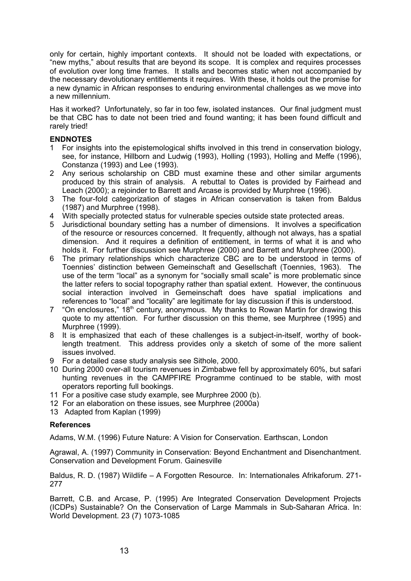only for certain, highly important contexts. It should not be loaded with expectations, or "new myths," about results that are beyond its scope. It is complex and requires processes of evolution over long time frames. It stalls and becomes static when not accompanied by the necessary devolutionary entitlements it requires. With these, it holds out the promise for a new dynamic in African responses to enduring environmental challenges as we move into a new millennium.

Has it worked? Unfortunately, so far in too few, isolated instances. Our final judgment must be that CBC has to date not been tried and found wanting; it has been found difficult and rarely tried!

# **ENDNOTES**

- 1 For insights into the epistemological shifts involved in this trend in conservation biology, see, for instance, Hillborn and Ludwig (1993), Holling (1993), Holling and Meffe (1996), Constanza (1993) and Lee (1993).
- 2 Any serious scholarship on CBD must examine these and other similar arguments produced by this strain of analysis. A rebuttal to Oates is provided by Fairhead and Leach (2000); a rejoinder to Barrett and Arcase is provided by Murphree (1996).
- 3 The four-fold categorization of stages in African conservation is taken from Baldus (1987) and Murphree (1998).
- 4 With specially protected status for vulnerable species outside state protected areas.
- 5 Jurisdictional boundary setting has a number of dimensions. It involves a specification of the resource or resources concerned. It frequently, although not always, has a spatial dimension. And it requires a definition of entitlement, in terms of what it is and who holds it. For further discussion see Murphree (2000) and Barrett and Murphree (2000).
- 6 The primary relationships which characterize CBC are to be understood in terms of Toennies' distinction between Gemeinschaft and Gesellschaft (Toennies, 1963). The use of the term "local" as a synonym for "socially small scale" is more problematic since the latter refers to social topography rather than spatial extent. However, the continuous social interaction involved in Gemeinschaft does have spatial implications and references to "local" and "locality" are legitimate for lay discussion if this is understood.
- 7 "On enclosures," 18<sup>th</sup> century, anonymous. My thanks to Rowan Martin for drawing this quote to my attention. For further discussion on this theme, see Murphree (1995) and Murphree (1999).
- 8 It is emphasized that each of these challenges is a subject-in-itself, worthy of booklength treatment. This address provides only a sketch of some of the more salient issues involved.
- 9 For a detailed case study analysis see Sithole, 2000.
- 10 During 2000 over-all tourism revenues in Zimbabwe fell by approximately 60%, but safari hunting revenues in the CAMPFIRE Programme continued to be stable, with most operators reporting full bookings.
- 11 For a positive case study example, see Murphree 2000 (b).
- 12 For an elaboration on these issues, see Murphree (2000a)
- 13 Adapted from Kaplan (1999)

# **References**

Adams, W.M. (1996) Future Nature: A Vision for Conservation. Earthscan, London

Agrawal, A. (1997) Community in Conservation: Beyond Enchantment and Disenchantment. Conservation and Development Forum. Gainesville

Baldus, R. D. (1987) Wildlife – A Forgotten Resource. In: Internationales Afrikaforum. 271- 277

Barrett, C.B. and Arcase, P. (1995) Are Integrated Conservation Development Projects (ICDPs) Sustainable? On the Conservation of Large Mammals in Sub-Saharan Africa. In: World Development. 23 (7) 1073-1085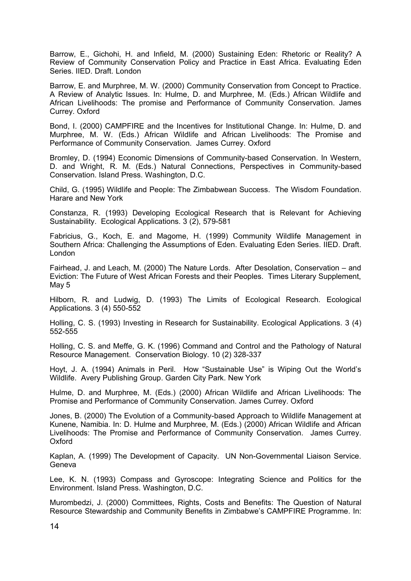Barrow, E., Gichohi, H. and Infield, M. (2000) Sustaining Eden: Rhetoric or Reality? A Review of Community Conservation Policy and Practice in East Africa. Evaluating Eden Series. IIED. Draft. London

Barrow, E. and Murphree, M. W. (2000) Community Conservation from Concept to Practice. A Review of Analytic Issues. In: Hulme, D. and Murphree, M. (Eds.) African Wildlife and African Livelihoods: The promise and Performance of Community Conservation. James Currey. Oxford

Bond, I. (2000) CAMPFIRE and the Incentives for Institutional Change. In: Hulme, D. and Murphree, M. W. (Eds.) African Wildlife and African Livelihoods: The Promise and Performance of Community Conservation. James Currey. Oxford

Bromley, D. (1994) Economic Dimensions of Community-based Conservation. In Western, D. and Wright, R. M. (Eds.) Natural Connections, Perspectives in Community-based Conservation. Island Press. Washington, D.C.

Child, G. (1995) Wildlife and People: The Zimbabwean Success. The Wisdom Foundation. Harare and New York

Constanza, R. (1993) Developing Ecological Research that is Relevant for Achieving Sustainability. Ecological Applications. 3 (2), 579-581

Fabricius, G., Koch, E. and Magome, H. (1999) Community Wildlife Management in Southern Africa: Challenging the Assumptions of Eden. Evaluating Eden Series. IIED. Draft. London

Fairhead, J. and Leach, M. (2000) The Nature Lords. After Desolation, Conservation – and Eviction: The Future of West African Forests and their Peoples. Times Literary Supplement, May 5

Hilborn, R. and Ludwig, D. (1993) The Limits of Ecological Research. Ecological Applications. 3 (4) 550-552

Holling, C. S. (1993) Investing in Research for Sustainability. Ecological Applications. 3 (4) 552-555

Holling, C. S. and Meffe, G. K. (1996) Command and Control and the Pathology of Natural Resource Management. Conservation Biology. 10 (2) 328-337

Hoyt, J. A. (1994) Animals in Peril. How "Sustainable Use" is Wiping Out the World's Wildlife. Avery Publishing Group. Garden City Park. New York

Hulme, D. and Murphree, M. (Eds.) (2000) African Wildlife and African Livelihoods: The Promise and Performance of Community Conservation. James Currey. Oxford

Jones, B. (2000) The Evolution of a Community-based Approach to Wildlife Management at Kunene, Namibia. In: D. Hulme and Murphree, M. (Eds.) (2000) African Wildlife and African Livelihoods: The Promise and Performance of Community Conservation. James Currey. Oxford

Kaplan, A. (1999) The Development of Capacity. UN Non-Governmental Liaison Service. **Geneva** 

Lee, K. N. (1993) Compass and Gyroscope: Integrating Science and Politics for the Environment. Island Press. Washington, D.C.

Murombedzi, J. (2000) Committees, Rights, Costs and Benefits: The Question of Natural Resource Stewardship and Community Benefits in Zimbabwe's CAMPFIRE Programme. In: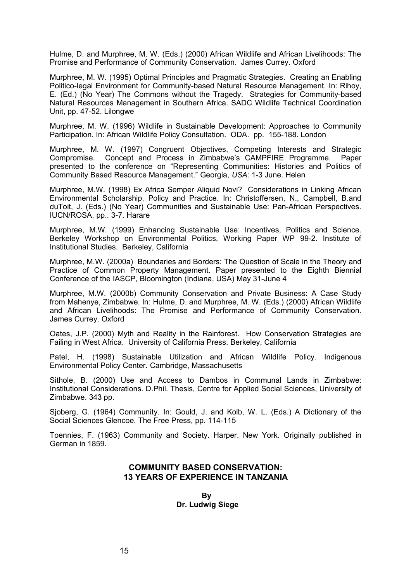Hulme, D. and Murphree, M. W. (Eds.) (2000) African Wildlife and African Livelihoods: The Promise and Performance of Community Conservation. James Currey. Oxford

Murphree, M. W. (1995) Optimal Principles and Pragmatic Strategies. Creating an Enabling Politico-legal Environment for Community-based Natural Resource Management. In: Rihoy, E. (Ed.) (No Year) The Commons without the Tragedy. Strategies for Community-based Natural Resources Management in Southern Africa. SADC Wildlife Technical Coordination Unit, pp. 47-52. Lilongwe

Murphree, M. W. (1996) Wildlife in Sustainable Development: Approaches to Community Participation. In: African Wildlife Policy Consultation. ODA. pp. 155-188. London

Murphree, M. W. (1997) Congruent Objectives, Competing Interests and Strategic Compromise. Concept and Process in Zimbabwe's CAMPFIRE Programme. Paper presented to the conference on "Representing Communities: Histories and Politics of Community Based Resource Management." Georgia, *USA*: 1-3 June. Helen

Murphree, M.W. (1998) Ex Africa Semper Aliquid Novi? Considerations in Linking African Environmental Scholarship, Policy and Practice. In: Christoffersen, N., Campbell, B.and duToit, J. (Eds.) (No Year) Communities and Sustainable Use: Pan-African Perspectives. IUCN/ROSA, pp.. 3-7. Harare

Murphree, M.W. (1999) Enhancing Sustainable Use: Incentives, Politics and Science. Berkeley Workshop on Environmental Politics, Working Paper WP 99-2. Institute of Institutional Studies. Berkeley, California

Murphree, M.W. (2000a) Boundaries and Borders: The Question of Scale in the Theory and Practice of Common Property Management. Paper presented to the Eighth Biennial Conference of the IASCP, Bloomington (Indiana, USA) May 31-June 4

Murphree, M.W. (2000b) Community Conservation and Private Business: A Case Study from Mahenye, Zimbabwe. In: Hulme, D. and Murphree, M. W. (Eds.) (2000) African Wildlife and African Livelihoods: The Promise and Performance of Community Conservation. James Currey. Oxford

Oates, J.P. (2000) Myth and Reality in the Rainforest. How Conservation Strategies are Failing in West Africa. University of California Press. Berkeley, California

Patel, H. (1998) Sustainable Utilization and African Wildlife Policy. Indigenous Environmental Policy Center. Cambridge, Massachusetts

Sithole, B. (2000) Use and Access to Dambos in Communal Lands in Zimbabwe: Institutional Considerations. D.Phil. Thesis, Centre for Applied Social Sciences, University of Zimbabwe. 343 pp.

Sjoberg, G. (1964) Community. In: Gould, J. and Kolb, W. L. (Eds.) A Dictionary of the Social Sciences Glencoe. The Free Press, pp. 114-115

Toennies, F. (1963) Community and Society. Harper. New York. Originally published in German in 1859.

# **COMMUNITY BASED CONSERVATION: 13 YEARS OF EXPERIENCE IN TANZANIA**

**By Dr. Ludwig Siege**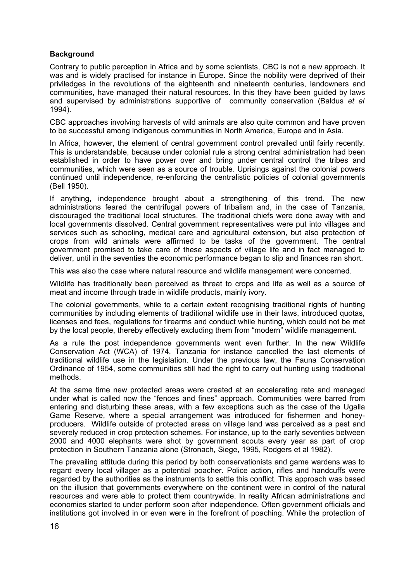# **Background**

Contrary to public perception in Africa and by some scientists, CBC is not a new approach. It was and is widely practised for instance in Europe. Since the nobility were deprived of their priviledges in the revolutions of the eighteenth and nineteenth centuries, landowners and communities, have managed their natural resources. In this they have been guided by laws and supervised by administrations supportive of community conservation (Baldus *et al* 1994).

CBC approaches involving harvests of wild animals are also quite common and have proven to be successful among indigenous communities in North America, Europe and in Asia.

In Africa, however, the element of central government control prevailed until fairly recently. This is understandable, because under colonial rule a strong central administration had been established in order to have power over and bring under central control the tribes and communities, which were seen as a source of trouble. Uprisings against the colonial powers continued until independence, re-enforcing the centralistic policies of colonial governments (Bell 1950).

If anything, independence brought about a strengthening of this trend. The new administrations feared the centrifugal powers of tribalism and, in the case of Tanzania, discouraged the traditional local structures. The traditional chiefs were done away with and local governments dissolved. Central government representatives were put into villages and services such as schooling, medical care and agricultural extension, but also protection of crops from wild animals were affirmed to be tasks of the government. The central government promised to take care of these aspects of village life and in fact managed to deliver, until in the seventies the economic performance began to slip and finances ran short.

This was also the case where natural resource and wildlife management were concerned.

Wildlife has traditionally been perceived as threat to crops and life as well as a source of meat and income through trade in wildlife products, mainly ivory.

The colonial governments, while to a certain extent recognising traditional rights of hunting communities by including elements of traditional wildlife use in their laws, introduced quotas, licenses and fees, regulations for firearms and conduct while hunting, which could not be met by the local people, thereby effectively excluding them from "modern" wildlife management.

As a rule the post independence governments went even further. In the new Wildlife Conservation Act (WCA) of 1974, Tanzania for instance cancelled the last elements of traditional wildlife use in the legislation. Under the previous law, the Fauna Conservation Ordinance of 1954, some communities still had the right to carry out hunting using traditional methods.

At the same time new protected areas were created at an accelerating rate and managed under what is called now the "fences and fines" approach. Communities were barred from entering and disturbing these areas, with a few exceptions such as the case of the Ugalla Game Reserve, where a special arrangement was introduced for fishermen and honeyproducers. Wildlife outside of protected areas on village land was perceived as a pest and severely reduced in crop protection schemes. For instance, up to the early seventies between 2000 and 4000 elephants were shot by government scouts every year as part of crop protection in Southern Tanzania alone (Stronach, Siege, 1995, Rodgers et al 1982).

The prevailing attitude during this period by both conservationists and game wardens was to regard every local villager as a potential poacher. Police action, rifles and handcuffs were regarded by the authorities as the instruments to settle this conflict. This approach was based on the illusion that governments everywhere on the continent were in control of the natural resources and were able to protect them countrywide. In reality African administrations and economies started to under perform soon after independence. Often government officials and institutions got involved in or even were in the forefront of poaching. While the protection of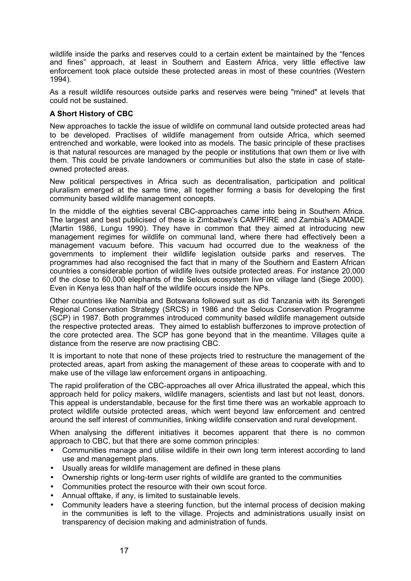wildlife inside the parks and reserves could to a certain extent be maintained by the "fences and fines" approach, at least in Southern and Eastern Africa, very little effective law enforcement took place outside these protected areas in most of these countries (Western 1994).

As a result wildlife resources outside parks and reserves were being "mined" at levels that could not be sustained.

# **A Short History of CBC**

New approaches to tackle the issue of wildlife on communal land outside protected areas had to be developed. Practises of wildlife management from outside Africa, which seemed entrenched and workable, were looked into as models. The basic principle of these practises is that natural resources are managed by the people or institutions that own them or live with them. This could be private landowners or communities but also the state in case of stateowned protected areas.

New political perspectives in Africa such as decentralisation, participation and political pluralism emerged at the same time, all together forming a basis for developing the first community based wildlife management concepts.

In the middle of the eighties several CBC-approaches came into being in Southern Africa. The largest and best publicised of these is Zimbabwe's CAMPFIRE and Zambia's ADMADE (Martin 1986, Lungu 1990). They have in common that they aimed at introducing new management regimes for wildlife on communal land, where there had effectively been a management vacuum before. This vacuum had occurred due to the weakness of the governments to implement their wildlife legislation outside parks and reserves. The programmes had also recognised the fact that in many of the Southern and Eastern African countries a considerable portion of wildlife lives outside protected areas. For instance 20,000 of the close to 60,000 elephants of the Selous ecosystem live on village land (Siege 2000). Even in Kenya less than half of the wildlife occurs inside the NPs.

Other countries like Namibia and Botswana followed suit as did Tanzania with its Serengeti Regional Conservation Strategy (SRCS) in 1986 and the Selous Conservation Programme (SCP) in 1987. Both programmes introduced community based wildlife management outside the respective protected areas. They aimed to establish bufferzones to improve protection of the core protected area. The SCP has gone beyond that in the meantime. Villages quite a distance from the reserve are now practising CBC.

It is important to note that none of these projects tried to restructure the management of the protected areas, apart from asking the management of these areas to cooperate with and to make use of the village law enforcement organs in antipoaching.

The rapid proliferation of the CBC-approaches all over Africa illustrated the appeal, which this approach held for policy makers, wildlife managers, scientists and last but not least, donors. This appeal is understandable, because for the first time there was an workable approach to protect wildlife outside protected areas, which went beyond law enforcement and centred around the self interest of communities, linking wildlife conservation and rural development.

When analysing the different initiatives it becomes apparent that there is no common approach to CBC, but that there are some common principles:

- Communities manage and utilise wildlife in their own long term interest according to land use and management plans.
- Usually areas for wildlife management are defined in these plans
- Ownership rights or long-term user rights of wildlife are granted to the communities
- Communities protect the resource with their own scout force.
- Annual offtake, if any, is limited to sustainable levels.
- Community leaders have a steering function, but the internal process of decision making in the communities is left to the village. Projects and administrations usually insist on transparency of decision making and administration of funds.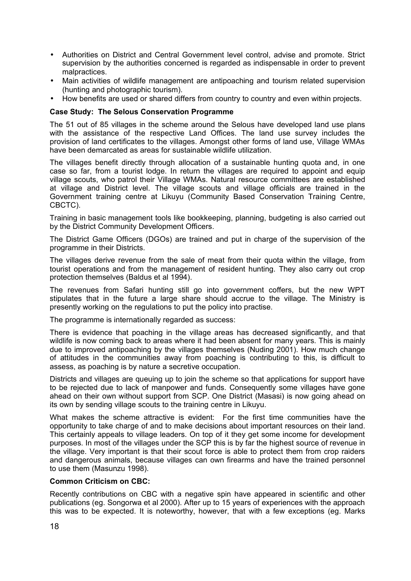- Authorities on District and Central Government level control, advise and promote. Strict supervision by the authorities concerned is regarded as indispensable in order to prevent malpractices.
- Main activities of wildlife management are antipoaching and tourism related supervision (hunting and photographic tourism).
- How benefits are used or shared differs from country to country and even within projects.

# **Case Study: The Selous Conservation Programme**

The 51 out of 85 villages in the scheme around the Selous have developed land use plans with the assistance of the respective Land Offices. The land use survey includes the provision of land certificates to the villages. Amongst other forms of land use, Village WMAs have been demarcated as areas for sustainable wildlife utilization.

The villages benefit directly through allocation of a sustainable hunting quota and, in one case so far, from a tourist lodge. In return the villages are required to appoint and equip village scouts, who patrol their Village WMAs. Natural resource committees are established at village and District level. The village scouts and village officials are trained in the Government training centre at Likuyu (Community Based Conservation Training Centre, CBCTC).

Training in basic management tools like bookkeeping, planning, budgeting is also carried out by the District Community Development Officers.

The District Game Officers (DGOs) are trained and put in charge of the supervision of the programme in their Districts.

The villages derive revenue from the sale of meat from their quota within the village, from tourist operations and from the management of resident hunting. They also carry out crop protection themselves (Baldus et al 1994).

The revenues from Safari hunting still go into government coffers, but the new WPT stipulates that in the future a large share should accrue to the village. The Ministry is presently working on the regulations to put the policy into practise.

The programme is internationally regarded as success:

There is evidence that poaching in the village areas has decreased significantly, and that wildlife is now coming back to areas where it had been absent for many years. This is mainly due to improved antipoaching by the villages themselves (Nuding 2001). How much change of attitudes in the communities away from poaching is contributing to this, is difficult to assess, as poaching is by nature a secretive occupation.

Districts and villages are queuing up to join the scheme so that applications for support have to be rejected due to lack of manpower and funds. Consequently some villages have gone ahead on their own without support from SCP. One District (Masasi) is now going ahead on its own by sending village scouts to the training centre in Likuyu.

What makes the scheme attractive is evident: For the first time communities have the opportunity to take charge of and to make decisions about important resources on their land. This certainly appeals to village leaders. On top of it they get some income for development purposes. In most of the villages under the SCP this is by far the highest source of revenue in the village. Very important is that their scout force is able to protect them from crop raiders and dangerous animals, because villages can own firearms and have the trained personnel to use them (Masunzu 1998).

# **Common Criticism on CBC:**

Recently contributions on CBC with a negative spin have appeared in scientific and other publications (eg. Songorwa et al 2000). After up to 15 years of experiences with the approach this was to be expected. It is noteworthy, however, that with a few exceptions (eg. Marks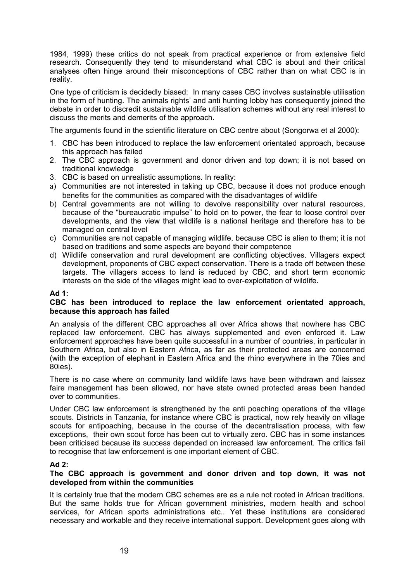1984, 1999) these critics do not speak from practical experience or from extensive field research. Consequently they tend to misunderstand what CBC is about and their critical analyses often hinge around their misconceptions of CBC rather than on what CBC is in reality.

One type of criticism is decidedly biased: In many cases CBC involves sustainable utilisation in the form of hunting. The animals rights' and anti hunting lobby has consequently joined the debate in order to discredit sustainable wildlife utilisation schemes without any real interest to discuss the merits and demerits of the approach.

The arguments found in the scientific literature on CBC centre about (Songorwa et al 2000):

- 1. CBC has been introduced to replace the law enforcement orientated approach, because this approach has failed
- 2. The CBC approach is government and donor driven and top down; it is not based on traditional knowledge
- 3. CBC is based on unrealistic assumptions. In reality:
- a) Communities are not interested in taking up CBC, because it does not produce enough benefits for the communities as compared with the disadvantages of wildlife
- b) Central governments are not willing to devolve responsibility over natural resources, because of the "bureaucratic impulse" to hold on to power, the fear to loose control over developments, and the view that wildlife is a national heritage and therefore has to be managed on central level
- c) Communities are not capable of managing wildlife, because CBC is alien to them; it is not based on traditions and some aspects are beyond their competence
- d) Wildlife conservation and rural development are conflicting objectives. Villagers expect development, proponents of CBC expect conservation. There is a trade off between these targets. The villagers access to land is reduced by CBC, and short term economic interests on the side of the villages might lead to over-exploitation of wildlife.

### **Ad 1:**

#### **CBC has been introduced to replace the law enforcement orientated approach, because this approach has failed**

An analysis of the different CBC approaches all over Africa shows that nowhere has CBC replaced law enforcement. CBC has always supplemented and even enforced it. Law enforcement approaches have been quite successful in a number of countries, in particular in Southern Africa, but also in Eastern Africa, as far as their protected areas are concerned (with the exception of elephant in Eastern Africa and the rhino everywhere in the 70ies and 80ies).

There is no case where on community land wildlife laws have been withdrawn and laissez faire management has been allowed, nor have state owned protected areas been handed over to communities.

Under CBC law enforcement is strengthened by the anti poaching operations of the village scouts. Districts in Tanzania, for instance where CBC is practical, now rely heavily on village scouts for antipoaching, because in the course of the decentralisation process, with few exceptions, their own scout force has been cut to virtually zero. CBC has in some instances been criticised because its success depended on increased law enforcement. The critics fail to recognise that law enforcement is one important element of CBC.

#### **Ad 2:**

### **The CBC approach is government and donor driven and top down, it was not developed from within the communities**

It is certainly true that the modern CBC schemes are as a rule not rooted in African traditions. But the same holds true for African government ministries, modern health and school services, for African sports administrations etc.. Yet these institutions are considered necessary and workable and they receive international support. Development goes along with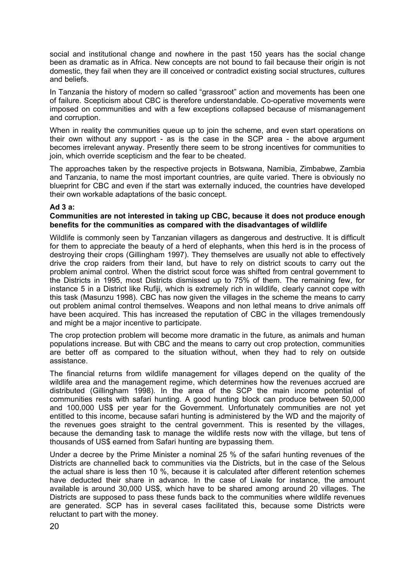social and institutional change and nowhere in the past 150 years has the social change been as dramatic as in Africa. New concepts are not bound to fail because their origin is not domestic, they fail when they are ill conceived or contradict existing social structures, cultures and beliefs.

In Tanzania the history of modern so called "grassroot" action and movements has been one of failure. Scepticism about CBC is therefore understandable. Co-operative movements were imposed on communities and with a few exceptions collapsed because of mismanagement and corruption.

When in reality the communities queue up to join the scheme, and even start operations on their own without any support - as is the case in the SCP area - the above argument becomes irrelevant anyway. Presently there seem to be strong incentives for communities to join, which override scepticism and the fear to be cheated.

The approaches taken by the respective projects in Botswana, Namibia, Zimbabwe, Zambia and Tanzania, to name the most important countries, are quite varied. There is obviously no blueprint for CBC and even if the start was externally induced, the countries have developed their own workable adaptations of the basic concept.

### **Ad 3 a:**

### **Communities are not interested in taking up CBC, because it does not produce enough benefits for the communities as compared with the disadvantages of wildlife**

Wildlife is commonly seen by Tanzanian villagers as dangerous and destructive. It is difficult for them to appreciate the beauty of a herd of elephants, when this herd is in the process of destroying their crops (Gillingham 1997). They themselves are usually not able to effectively drive the crop raiders from their land, but have to rely on district scouts to carry out the problem animal control. When the district scout force was shifted from central government to the Districts in 1995, most Districts dismissed up to 75% of them. The remaining few, for instance 5 in a District like Rufiji, which is extremely rich in wildlife, clearly cannot cope with this task (Masunzu 1998). CBC has now given the villages in the scheme the means to carry out problem animal control themselves. Weapons and non lethal means to drive animals off have been acquired. This has increased the reputation of CBC in the villages tremendously and might be a major incentive to participate.

The crop protection problem will become more dramatic in the future, as animals and human populations increase. But with CBC and the means to carry out crop protection, communities are better off as compared to the situation without, when they had to rely on outside assistance.

The financial returns from wildlife management for villages depend on the quality of the wildlife area and the management regime, which determines how the revenues accrued are distributed (Gillingham 1998). In the area of the SCP the main income potential of communities rests with safari hunting. A good hunting block can produce between 50,000 and 100,000 US\$ per year for the Government. Unfortunately communities are not yet entitled to this income, because safari hunting is administered by the WD and the majority of the revenues goes straight to the central government. This is resented by the villages, because the demanding task to manage the wildlife rests now with the village, but tens of thousands of US\$ earned from Safari hunting are bypassing them.

Under a decree by the Prime Minister a nominal 25 % of the safari hunting revenues of the Districts are channelled back to communities via the Districts, but in the case of the Selous the actual share is less then 10 %, because it is calculated after different retention schemes have deducted their share in advance. In the case of Liwale for instance, the amount available is around 30,000 US\$, which have to be shared among around 20 villages. The Districts are supposed to pass these funds back to the communities where wildlife revenues are generated. SCP has in several cases facilitated this, because some Districts were reluctant to part with the money.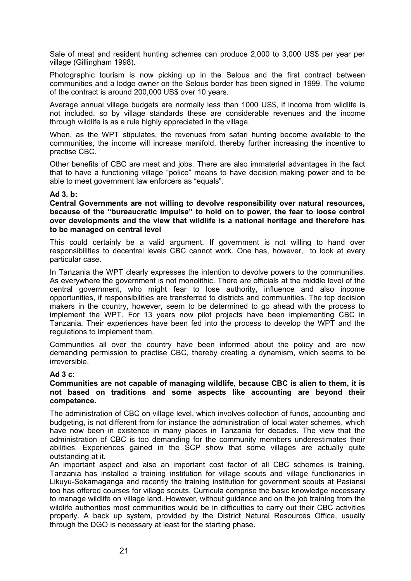Sale of meat and resident hunting schemes can produce 2,000 to 3,000 US\$ per year per village (Gillingham 1998).

Photographic tourism is now picking up in the Selous and the first contract between communities and a lodge owner on the Selous border has been signed in 1999. The volume of the contract is around 200,000 US\$ over 10 years.

Average annual village budgets are normally less than 1000 US\$, if income from wildlife is not included, so by village standards these are considerable revenues and the income through wildlife is as a rule highly appreciated in the village.

When, as the WPT stipulates, the revenues from safari hunting become available to the communities, the income will increase manifold, thereby further increasing the incentive to practise CBC.

Other benefits of CBC are meat and jobs. There are also immaterial advantages in the fact that to have a functioning village "police" means to have decision making power and to be able to meet government law enforcers as "equals".

#### **Ad 3. b:**

**Central Governments are not willing to devolve responsibility over natural resources, because of the "bureaucratic impulse" to hold on to power, the fear to loose control over developments and the view that wildlife is a national heritage and therefore has to be managed on central level**

This could certainly be a valid argument. If government is not willing to hand over responsibilities to decentral levels CBC cannot work. One has, however, to look at every particular case.

In Tanzania the WPT clearly expresses the intention to devolve powers to the communities. As everywhere the government is not monolithic. There are officials at the middle level of the central government, who might fear to lose authority, influence and also income opportunities, if responsibilities are transferred to districts and communities. The top decision makers in the country, however, seem to be determined to go ahead with the process to implement the WPT. For 13 years now pilot projects have been implementing CBC in Tanzania. Their experiences have been fed into the process to develop the WPT and the regulations to implement them.

Communities all over the country have been informed about the policy and are now demanding permission to practise CBC, thereby creating a dynamism, which seems to be irreversible.

#### **Ad 3 c:**

### **Communities are not capable of managing wildlife, because CBC is alien to them, it is not based on traditions and some aspects like accounting are beyond their competence.**

The administration of CBC on village level, which involves collection of funds, accounting and budgeting, is not different from for instance the administration of local water schemes, which have now been in existence in many places in Tanzania for decades. The view that the administration of CBC is too demanding for the community members underestimates their abilities. Experiences gained in the SCP show that some villages are actually quite outstanding at it.

An important aspect and also an important cost factor of all CBC schemes is training. Tanzania has installed a training institution for village scouts and village functionaries in Likuyu-Sekamaganga and recently the training institution for government scouts at Pasiansi too has offered courses for village scouts. Curricula comprise the basic knowledge necessary to manage wildlife on village land. However, without guidance and on the job training from the wildlife authorities most communities would be in difficulties to carry out their CBC activities properly. A back up system, provided by the District Natural Resources Office, usually through the DGO is necessary at least for the starting phase.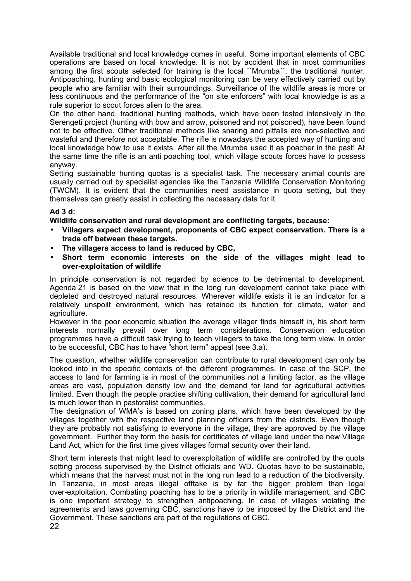Available traditional and local knowledge comes in useful. Some important elements of CBC operations are based on local knowledge. It is not by accident that in most communities among the first scouts selected for training is the local ``Mrumba'', the traditional hunter. Antipoaching, hunting and basic ecological monitoring can be very effectively carried out by people who are familiar with their surroundings. Surveillance of the wildlife areas is more or less continuous and the performance of the "on site enforcers" with local knowledge is as a rule superior to scout forces alien to the area.

On the other hand, traditional hunting methods, which have been tested intensively in the Serengeti project (hunting with bow and arrow, poisoned and not poisoned), have been found not to be effective. Other traditional methods like snaring and pitfalls are non-selective and wasteful and therefore not acceptable. The rifle is nowadays the accepted way of hunting and local knowledge how to use it exists. After all the Mrumba used it as poacher in the past! At the same time the rifle is an anti poaching tool, which village scouts forces have to possess anyway.

Setting sustainable hunting quotas is a specialist task. The necessary animal counts are usually carried out by specialist agencies like the Tanzania Wildlife Conservation Monitoring (TWCM). It is evident that the communities need assistance in quota setting, but they themselves can greatly assist in collecting the necessary data for it.

# **Ad 3 d:**

**Wildlife conservation and rural development are conflicting targets, because:**

- **Villagers expect development, proponents of CBC expect conservation. There is a trade off between these targets.**
- **The villagers access to land is reduced by CBC,**
- **Short term economic interests on the side of the villages might lead to over-exploitation of wildlife**

In principle conservation is not regarded by science to be detrimental to development. Agenda 21 is based on the view that in the long run development cannot take place with depleted and destroyed natural resources. Wherever wildlife exists it is an indicator for a relatively unspoilt environment, which has retained its function for climate, water and agriculture.

However in the poor economic situation the average villager finds himself in, his short term interests normally prevail over long term considerations. Conservation education programmes have a difficult task trying to teach villagers to take the long term view. In order to be successful, CBC has to have "short term" appeal (see 3.a).

The question, whether wildlife conservation can contribute to rural development can only be looked into in the specific contexts of the different programmes. In case of the SCP, the access to land for farming is in most of the communities not a limiting factor, as the village areas are vast, population density low and the demand for land for agricultural activities limited. Even though the people practise shifting cultivation, their demand for agricultural land is much lower than in pastoralist communities.

The designation of WMA's is based on zoning plans, which have been developed by the villages together with the respective land planning officers from the districts. Even though they are probably not satisfying to everyone in the village, they are approved by the village government. Further they form the basis for certificates of village land under the new Village Land Act, which for the first time gives villages formal security over their land.

Short term interests that might lead to overexploitation of wildlife are controlled by the quota setting process supervised by the District officials and WD. Quotas have to be sustainable, which means that the harvest must not in the long run lead to a reduction of the biodiversity. In Tanzania, in most areas illegal offtake is by far the bigger problem than legal over-exploitation. Combating poaching has to be a priority in wildlife management, and CBC is one important strategy to strengthen antipoaching. In case of villages violating the agreements and laws governing CBC, sanctions have to be imposed by the District and the Government. These sanctions are part of the regulations of CBC.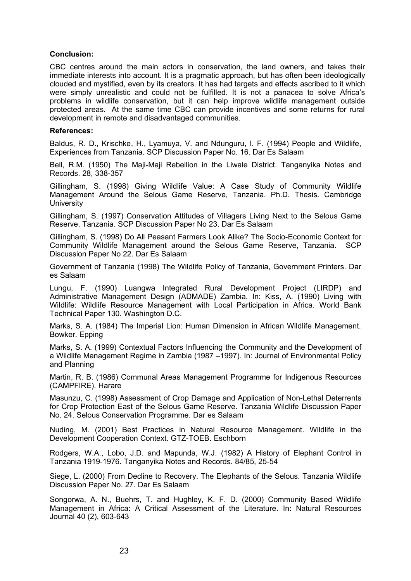### **Conclusion:**

CBC centres around the main actors in conservation, the land owners, and takes their immediate interests into account. It is a pragmatic approach, but has often been ideologically clouded and mystified, even by its creators. It has had targets and effects ascribed to it which were simply unrealistic and could not be fulfilled. It is not a panacea to solve Africa's problems in wildlife conservation, but it can help improve wildlife management outside protected areas. At the same time CBC can provide incentives and some returns for rural development in remote and disadvantaged communities.

#### **References:**

Baldus, R. D., Krischke, H., Lyamuya, V. and Ndunguru, I. F. (1994) People and Wildlife, Experiences from Tanzania. SCP Discussion Paper No. 16. Dar Es Salaam

Bell, R.M. (1950) The Maji-Maji Rebellion in the Liwale District. Tanganyika Notes and Records. 28, 338-357

Gillingham, S. (1998) Giving Wildlife Value: A Case Study of Community Wildlife Management Around the Selous Game Reserve, Tanzania. Ph.D. Thesis. Cambridge **University** 

Gillingham, S. (1997) Conservation Attitudes of Villagers Living Next to the Selous Game Reserve, Tanzania. SCP Discussion Paper No 23. Dar Es Salaam

Gillingham, S. (1998) Do All Peasant Farmers Look Alike? The Socio-Economic Context for Community Wildlife Management around the Selous Game Reserve, Tanzania. SCP Discussion Paper No 22. Dar Es Salaam

Government of Tanzania (1998) The Wildlife Policy of Tanzania, Government Printers. Dar es Salaam

Lungu, F. (1990) Luangwa Integrated Rural Development Project (LIRDP) and Administrative Management Design (ADMADE) Zambia. In: Kiss, A. (1990) Living with Wildlife: Wildlife Resource Management with Local Participation in Africa. World Bank Technical Paper 130. Washington D.C.

Marks, S. A. (1984) The Imperial Lion: Human Dimension in African Wildlife Management. Bowker. Epping

Marks, S. A. (1999) Contextual Factors Influencing the Community and the Development of a Wildlife Management Regime in Zambia (1987 –1997). In: Journal of Environmental Policy and Planning

Martin, R. B. (1986) Communal Areas Management Programme for Indigenous Resources (CAMPFIRE). Harare

Masunzu, C. (1998) Assessment of Crop Damage and Application of Non-Lethal Deterrents for Crop Protection East of the Selous Game Reserve. Tanzania Wildlife Discussion Paper No. 24. Selous Conservation Programme. Dar es Salaam

Nuding, M. (2001) Best Practices in Natural Resource Management. Wildlife in the Development Cooperation Context. GTZ-TOEB. Eschborn

Rodgers, W.A., Lobo, J.D. and Mapunda, W.J. (1982) A History of Elephant Control in Tanzania 1919-1976. Tanganyika Notes and Records. 84/85, 25-54

Siege, L. (2000) From Decline to Recovery. The Elephants of the Selous. Tanzania Wildlife Discussion Paper No. 27. Dar Es Salaam

Songorwa, A. N., Buehrs, T. and Hughley, K. F. D. (2000) Community Based Wildlife Management in Africa: A Critical Assessment of the Literature. In: Natural Resources Journal 40 (2), 603-643